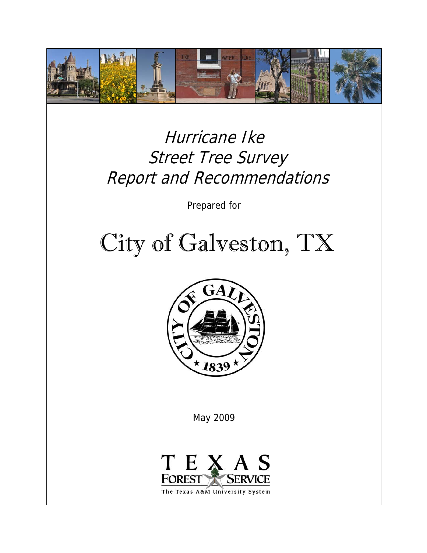

### Hurricane Ike Street Tree Survey Report and Recommendations

Prepared for

# City of Galveston, TX



May 2009

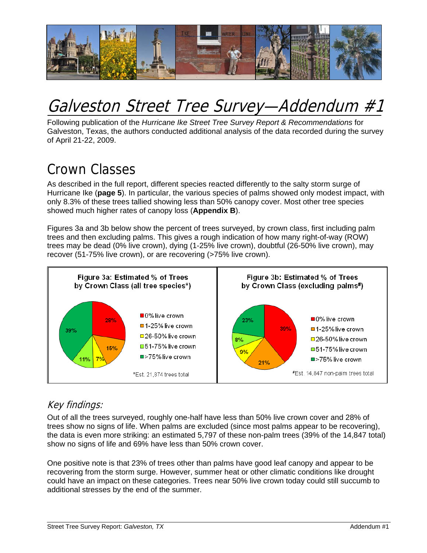

### Galveston Street Tree Survey—Addendum #1

Following publication of the *Hurricane Ike Street Tree Survey Report & Recommendations* for Galveston, Texas, the authors conducted additional analysis of the data recorded during the survey of April 21-22, 2009.

### Crown Classes

As described in the full report, different species reacted differently to the salty storm surge of Hurricane Ike (**page 5**). In particular, the various species of palms showed only modest impact, with only 8.3% of these trees tallied showing less than 50% canopy cover. Most other tree species showed much higher rates of canopy loss (**Appendix B**).

Figures 3a and 3b below show the percent of trees surveyed, by crown class, first including palm trees and then excluding palms. This gives a rough indication of how many right-of-way (ROW) trees may be dead (0% live crown), dying (1-25% live crown), doubtful (26-50% live crown), may recover (51-75% live crown), or are recovering (>75% live crown).



### Key findings:

Out of all the trees surveyed, roughly one-half have less than 50% live crown cover and 28% of trees show no signs of life. When palms are excluded (since most palms appear to be recovering), the data is even more striking: an estimated 5,797 of these non-palm trees (39% of the 14,847 total) show no signs of life and 69% have less than 50% crown cover.

One positive note is that 23% of trees other than palms have good leaf canopy and appear to be recovering from the storm surge. However, summer heat or other climatic conditions like drought could have an impact on these categories. Trees near 50% live crown today could still succumb to additional stresses by the end of the summer.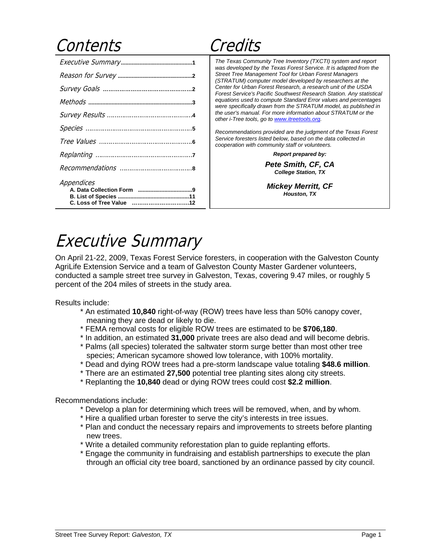### Contents Credits

| Appendices |
|------------|
|            |

*The Texas Community Tree Inventory (TXCTI) system and report was developed by the Texas Forest Service. It is adapted from the Street Tree Management Tool for Urban Forest Managers (STRATUM) computer model developed by researchers at the Center for Urban Forest Research, a research unit of the USDA Forest Service's Pacific Southwest Research Station. Any statistical equations used to compute Standard Error values and percentages were specifically drawn from the STRATUM model, as published in the user's manual. For more information about STRATUM or the other i-Tree tools, go to www.itreetools.org.* 

*Recommendations provided are the judgment of the Texas Forest Service foresters listed below, based on the data collected in cooperation with community staff or volunteers.* 

 *Report prepared by:* 

 *Pete Smith, CF, CA College Station, TX* 

*Mickey Merritt, CF Houston, TX* 

### Executive Summary

On April 21-22, 2009, Texas Forest Service foresters, in cooperation with the Galveston County AgriLife Extension Service and a team of Galveston County Master Gardener volunteers, conducted a sample street tree survey in Galveston, Texas, covering 9.47 miles, or roughly 5 percent of the 204 miles of streets in the study area.

Results include:

- \* An estimated **10,840** right-of-way (ROW) trees have less than 50% canopy cover, meaning they are dead or likely to die.
- \* FEMA removal costs for eligible ROW trees are estimated to be **\$706,180**.
- \* In addition, an estimated **31,000** private trees are also dead and will become debris.
- \* Palms (all species) tolerated the saltwater storm surge better than most other tree species; American sycamore showed low tolerance, with 100% mortality.
- \* Dead and dying ROW trees had a pre-storm landscape value totaling **\$48.6 million**.
- \* There are an estimated **27,500** potential tree planting sites along city streets.
- \* Replanting the **10,840** dead or dying ROW trees could cost **\$2.2 million**.

Recommendations include:

- \* Develop a plan for determining which trees will be removed, when, and by whom.
- \* Hire a qualified urban forester to serve the city's interests in tree issues.
- \* Plan and conduct the necessary repairs and improvements to streets before planting new trees.
- \* Write a detailed community reforestation plan to guide replanting efforts.
- \* Engage the community in fundraising and establish partnerships to execute the plan through an official city tree board, sanctioned by an ordinance passed by city council.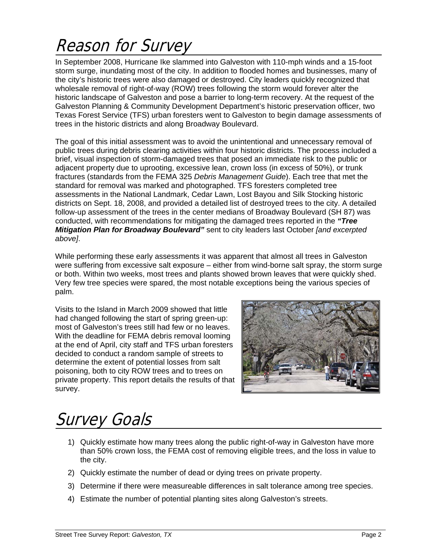## Reason for Survey

In September 2008, Hurricane Ike slammed into Galveston with 110-mph winds and a 15-foot storm surge, inundating most of the city. In addition to flooded homes and businesses, many of the city's historic trees were also damaged or destroyed. City leaders quickly recognized that wholesale removal of right-of-way (ROW) trees following the storm would forever alter the historic landscape of Galveston and pose a barrier to long-term recovery. At the request of the Galveston Planning & Community Development Department's historic preservation officer, two Texas Forest Service (TFS) urban foresters went to Galveston to begin damage assessments of trees in the historic districts and along Broadway Boulevard.

The goal of this initial assessment was to avoid the unintentional and unnecessary removal of public trees during debris clearing activities within four historic districts. The process included a brief, visual inspection of storm-damaged trees that posed an immediate risk to the public or adjacent property due to uprooting, excessive lean, crown loss (in excess of 50%), or trunk fractures (standards from the FEMA 325 *Debris Management Guide*). Each tree that met the standard for removal was marked and photographed. TFS foresters completed tree assessments in the National Landmark, Cedar Lawn, Lost Bayou and Silk Stocking historic districts on Sept. 18, 2008, and provided a detailed list of destroyed trees to the city. A detailed follow-up assessment of the trees in the center medians of Broadway Boulevard (SH 87) was conducted, with recommendations for mitigating the damaged trees reported in the *"Tree Mitigation Plan for Broadway Boulevard"* sent to city leaders last October *[and excerpted above]*.

While performing these early assessments it was apparent that almost all trees in Galveston were suffering from excessive salt exposure – either from wind-borne salt spray, the storm surge or both. Within two weeks, most trees and plants showed brown leaves that were quickly shed. Very few tree species were spared, the most notable exceptions being the various species of palm.

Visits to the Island in March 2009 showed that little had changed following the start of spring green-up: most of Galveston's trees still had few or no leaves. With the deadline for FEMA debris removal looming at the end of April, city staff and TFS urban foresters decided to conduct a random sample of streets to determine the extent of potential losses from salt poisoning, both to city ROW trees and to trees on private property. This report details the results of that survey.



### Survey Goals

- 1) Quickly estimate how many trees along the public right-of-way in Galveston have more than 50% crown loss, the FEMA cost of removing eligible trees, and the loss in value to the city.
- 2) Quickly estimate the number of dead or dying trees on private property.
- 3) Determine if there were measureable differences in salt tolerance among tree species.
- 4) Estimate the number of potential planting sites along Galveston's streets.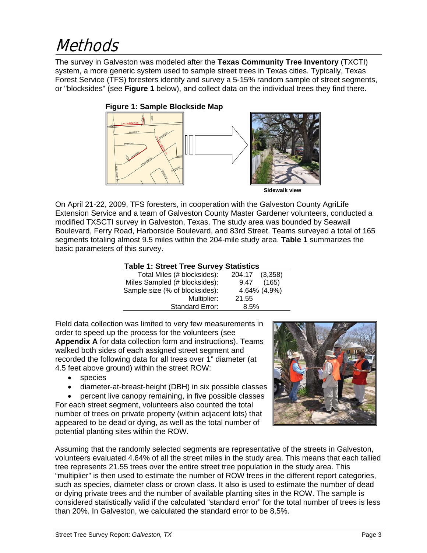### **Methods**

The survey in Galveston was modeled after the **Texas Community Tree Inventory** (TXCTI) system, a more generic system used to sample street trees in Texas cities. Typically, Texas Forest Service (TFS) foresters identify and survey a 5-15% random sample of street segments, or "blocksides" (see **Figure 1** below), and collect data on the individual trees they find there.



On April 21-22, 2009, TFS foresters, in cooperation with the Galveston County AgriLife Extension Service and a team of Galveston County Master Gardener volunteers, conducted a modified TXSCTI survey in Galveston, Texas. The study area was bounded by Seawall Boulevard, Ferry Road, Harborside Boulevard, and 83rd Street. Teams surveyed a total of 165 segments totaling almost 9.5 miles within the 204-mile study area. **Table 1** summarizes the basic parameters of this survey.

#### **Table 1: Street Tree Survey Statistics**

| Total Miles (# blocksides):    | 204.17<br>(3,358) |
|--------------------------------|-------------------|
| Miles Sampled (# blocksides):  | (165)<br>9.47     |
| Sample size (% of blocksides): | 4.64% (4.9%)      |
| Multiplier:                    | 21.55             |
| <b>Standard Error:</b>         | 8.5%              |

Field data collection was limited to very few measurements in order to speed up the process for the volunteers (see **Appendix A** for data collection form and instructions). Teams walked both sides of each assigned street segment and recorded the following data for all trees over 1" diameter (at 4.5 feet above ground) within the street ROW:

- species
- diameter-at-breast-height (DBH) in six possible classes

• percent live canopy remaining, in five possible classes For each street segment, volunteers also counted the total number of trees on private property (within adjacent lots) that appeared to be dead or dying, as well as the total number of potential planting sites within the ROW.



Assuming that the randomly selected segments are representative of the streets in Galveston, volunteers evaluated 4.64% of all the street miles in the study area. This means that each tallied tree represents 21.55 trees over the entire street tree population in the study area. This "multiplier" is then used to estimate the number of ROW trees in the different report categories, such as species, diameter class or crown class. It also is used to estimate the number of dead or dying private trees and the number of available planting sites in the ROW. The sample is considered statistically valid if the calculated "standard error" for the total number of trees is less than 20%. In Galveston, we calculated the standard error to be 8.5%.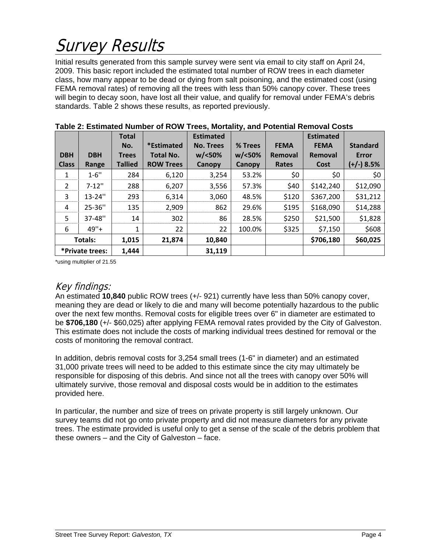## Survey Results

Initial results generated from this sample survey were sent via email to city staff on April 24, 2009. This basic report included the estimated total number of ROW trees in each diameter class, how many appear to be dead or dying from salt poisoning, and the estimated cost (using FEMA removal rates) of removing all the trees with less than 50% canopy cover. These trees will begin to decay soon, have lost all their value, and qualify for removal under FEMA's debris standards. Table 2 shows these results, as reported previously.

|                 |                | <b>Total</b>   |                  | <b>Estimated</b> |               |             | <b>Estimated</b> |                 |
|-----------------|----------------|----------------|------------------|------------------|---------------|-------------|------------------|-----------------|
|                 |                | No.            | *Estimated       | <b>No. Trees</b> | % Trees       | <b>FEMA</b> | <b>FEMA</b>      | <b>Standard</b> |
| <b>DBH</b>      | <b>DBH</b>     | <b>Trees</b>   | <b>Total No.</b> | $w$ /<50%        | $w$ /<50%     | Removal     | Removal          | <b>Error</b>    |
| <b>Class</b>    | Range          | <b>Tallied</b> | <b>ROW Trees</b> | Canopy           | <b>Canopy</b> | Rates       | Cost             | (+/-) 8.5%      |
| 1               | $1 - 6"$       | 284            | 6,120            | 3,254            | 53.2%         | \$0         | \$0              | \$0             |
| $\overline{2}$  | $7 - 12"$      | 288            | 6,207            | 3,556            | 57.3%         | \$40        | \$142,240        | \$12,090        |
| 3               | 13-24"         | 293            | 6,314            | 3,060            | 48.5%         | \$120       | \$367,200        | \$31,212        |
| 4               | 25-36"         | 135            | 2,909            | 862              | 29.6%         | \$195       | \$168,090        | \$14,288        |
| 5               | 37-48"         | 14             | 302              | 86               | 28.5%         | \$250       | \$21,500         | \$1,828         |
| 6               | $49"+$         | $\mathbf{1}$   | 22               | 22               | 100.0%        | \$325       | \$7,150          | \$608           |
|                 | <b>Totals:</b> |                | 21,874           | 10,840           |               |             | \$706,180        | \$60,025        |
| *Private trees: |                | 1,444          |                  | 31,119           |               |             |                  |                 |

\*using multiplier of 21.55

#### Key findings:

An estimated **10,840** public ROW trees (+/- 921) currently have less than 50% canopy cover, meaning they are dead or likely to die and many will become potentially hazardous to the public over the next few months. Removal costs for eligible trees over 6" in diameter are estimated to be **\$706,180** (+/- \$60,025) after applying FEMA removal rates provided by the City of Galveston. This estimate does not include the costs of marking individual trees destined for removal or the costs of monitoring the removal contract.

In addition, debris removal costs for 3,254 small trees (1-6" in diameter) and an estimated 31,000 private trees will need to be added to this estimate since the city may ultimately be responsible for disposing of this debris. And since not all the trees with canopy over 50% will ultimately survive, those removal and disposal costs would be in addition to the estimates provided here.

In particular, the number and size of trees on private property is still largely unknown. Our survey teams did not go onto private property and did not measure diameters for any private trees. The estimate provided is useful only to get a sense of the scale of the debris problem that these owners – and the City of Galveston – face.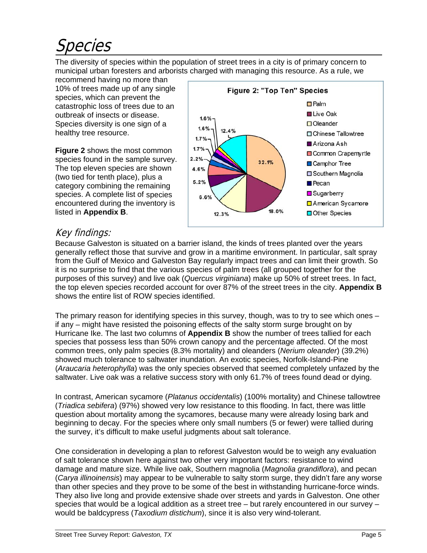## Species

The diversity of species within the population of street trees in a city is of primary concern to municipal urban foresters and arborists charged with managing this resource. As a rule, we

recommend having no more than 10% of trees made up of any single species, which can prevent the catastrophic loss of trees due to an outbreak of insects or disease. Species diversity is one sign of a healthy tree resource.

**Figure 2** shows the most common species found in the sample survey. The top eleven species are shown (two tied for tenth place), plus a category combining the remaining species. A complete list of species encountered during the inventory is listed in **Appendix B**.



### Key findings:

Because Galveston is situated on a barrier island, the kinds of trees planted over the years generally reflect those that survive and grow in a maritime environment. In particular, salt spray from the Gulf of Mexico and Galveston Bay regularly impact trees and can limit their growth. So it is no surprise to find that the various species of palm trees (all grouped together for the purposes of this survey) and live oak (*Quercus virginiana*) make up 50% of street trees. In fact, the top eleven species recorded account for over 87% of the street trees in the city. **Appendix B** shows the entire list of ROW species identified.

The primary reason for identifying species in this survey, though, was to try to see which ones – if any – might have resisted the poisoning effects of the salty storm surge brought on by Hurricane Ike. The last two columns of **Appendix B** show the number of trees tallied for each species that possess less than 50% crown canopy and the percentage affected. Of the most common trees, only palm species (8.3% mortality) and oleanders (*Nerium oleander*) (39.2%) showed much tolerance to saltwater inundation. An exotic species, Norfolk-Island-Pine (*Araucaria heterophylla*) was the only species observed that seemed completely unfazed by the saltwater. Live oak was a relative success story with only 61.7% of trees found dead or dying.

In contrast, American sycamore (*Platanus occidentalis*) (100% mortality) and Chinese tallowtree (*Triadica sebifera*) (97%) showed very low resistance to this flooding. In fact, there was little question about mortality among the sycamores, because many were already losing bark and beginning to decay. For the species where only small numbers (5 or fewer) were tallied during the survey, it's difficult to make useful judgments about salt tolerance.

One consideration in developing a plan to reforest Galveston would be to weigh any evaluation of salt tolerance shown here against two other very important factors: resistance to wind damage and mature size. While live oak, Southern magnolia (*Magnolia grandiflora*), and pecan (*Carya illinoinensis*) may appear to be vulnerable to salty storm surge, they didn't fare any worse than other species and they prove to be some of the best in withstanding hurricane-force winds. They also live long and provide extensive shade over streets and yards in Galveston. One other species that would be a logical addition as a street tree – but rarely encountered in our survey – would be baldcypress (*Taxodium distichum*), since it is also very wind-tolerant.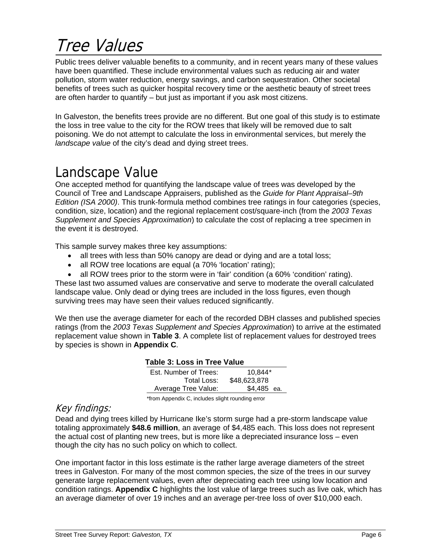### Tree Values

Public trees deliver valuable benefits to a community, and in recent years many of these values have been quantified. These include environmental values such as reducing air and water pollution, storm water reduction, energy savings, and carbon sequestration. Other societal benefits of trees such as quicker hospital recovery time or the aesthetic beauty of street trees are often harder to quantify – but just as important if you ask most citizens.

In Galveston, the benefits trees provide are no different. But one goal of this study is to estimate the loss in tree value to the city for the ROW trees that likely will be removed due to salt poisoning. We do not attempt to calculate the loss in environmental services, but merely the *landscape value* of the city's dead and dying street trees.

### Landscape Value

One accepted method for quantifying the landscape value of trees was developed by the Council of Tree and Landscape Appraisers, published as the *Guide for Plant Appraisal–9th Edition (ISA 2000)*. This trunk-formula method combines tree ratings in four categories (species, condition, size, location) and the regional replacement cost/square-inch (from the *2003 Texas Supplement and Species Approximation*) to calculate the cost of replacing a tree specimen in the event it is destroyed.

This sample survey makes three key assumptions:

- all trees with less than 50% canopy are dead or dying and are a total loss;
- all ROW tree locations are equal (a 70% 'location' rating);
- all ROW trees prior to the storm were in 'fair' condition (a 60% 'condition' rating).

These last two assumed values are conservative and serve to moderate the overall calculated landscape value. Only dead or dying trees are included in the loss figures, even though surviving trees may have seen their values reduced significantly.

We then use the average diameter for each of the recorded DBH classes and published species ratings (from the *2003 Texas Supplement and Species Approximation*) to arrive at the estimated replacement value shown in **Table 3**. A complete list of replacement values for destroyed trees by species is shown in **Appendix C**.

#### **Table 3: Loss in Tree Value**

| Est. Number of Trees: | $10.844*$    |
|-----------------------|--------------|
| Total Loss:           | \$48,623,878 |
| Average Tree Value:   | \$4,485 ea.  |

\*from Appendix C, includes slight rounding error

#### Key findings:

Dead and dying trees killed by Hurricane Ike's storm surge had a pre-storm landscape value totaling approximately **\$48.6 million**, an average of \$4,485 each. This loss does not represent the actual cost of planting new trees, but is more like a depreciated insurance loss – even though the city has no such policy on which to collect.

One important factor in this loss estimate is the rather large average diameters of the street trees in Galveston. For many of the most common species, the size of the trees in our survey generate large replacement values, even after depreciating each tree using low location and condition ratings. **Appendix C** highlights the lost value of large trees such as live oak, which has an average diameter of over 19 inches and an average per-tree loss of over \$10,000 each.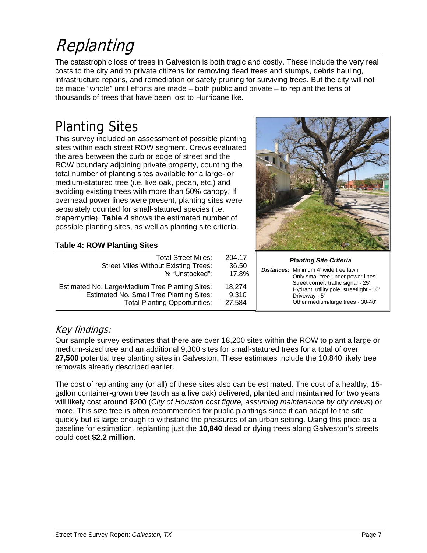## Replanting

The catastrophic loss of trees in Galveston is both tragic and costly. These include the very real costs to the city and to private citizens for removing dead trees and stumps, debris hauling, infrastructure repairs, and remediation or safety pruning for surviving trees. But the city will not be made "whole" until efforts are made – both public and private – to replant the tens of thousands of trees that have been lost to Hurricane Ike.

### Planting Sites

This survey included an assessment of possible planting sites within each street ROW segment. Crews evaluated the area between the curb or edge of street and the ROW boundary adjoining private property, counting the total number of planting sites available for a large- or medium-statured tree (i.e. live oak, pecan, etc.) and avoiding existing trees with more than 50% canopy. If overhead power lines were present, planting sites were separately counted for small-statured species (i.e. crapemyrtle). **Table 4** shows the estimated number of possible planting sites, as well as planting site criteria.



#### **Table 4: ROW Planting Sites**

| <b>Total Street Miles:</b><br><b>Street Miles Without Existing Trees:</b><br>% "Unstocked":                                                | 204.17<br>36.50<br>17.8%  | <b>Planting Site Criteria</b><br><b>Distances:</b> Minimum 4' wide tree lawn<br>Only small tree under power lines                     |
|--------------------------------------------------------------------------------------------------------------------------------------------|---------------------------|---------------------------------------------------------------------------------------------------------------------------------------|
| Estimated No. Large/Medium Tree Planting Sites:<br><b>Estimated No. Small Tree Planting Sites:</b><br><b>Total Planting Opportunities:</b> | 18.274<br>9,310<br>27,584 | Street corner, traffic signal - 25'<br>Hydrant, utility pole, streetlight - 10'<br>Driveway - 5'<br>Other medium/large trees - 30-40' |

#### Key findings:

Our sample survey estimates that there are over 18,200 sites within the ROW to plant a large or medium-sized tree and an additional 9,300 sites for small-statured trees for a total of over **27,500** potential tree planting sites in Galveston. These estimates include the 10,840 likely tree removals already described earlier.

The cost of replanting any (or all) of these sites also can be estimated. The cost of a healthy, 15 gallon container-grown tree (such as a live oak) delivered, planted and maintained for two years will likely cost around \$200 (*City of Houston cost figure, assuming maintenance by city crews*) or more. This size tree is often recommended for public plantings since it can adapt to the site quickly but is large enough to withstand the pressures of an urban setting. Using this price as a baseline for estimation, replanting just the **10,840** dead or dying trees along Galveston's streets could cost **\$2.2 million**.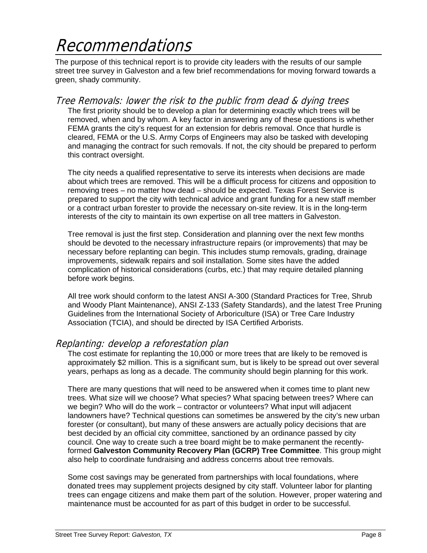### Recommendations

The purpose of this technical report is to provide city leaders with the results of our sample street tree survey in Galveston and a few brief recommendations for moving forward towards a green, shady community.

#### Tree Removals: lower the risk to the public from dead & dying trees

The first priority should be to develop a plan for determining exactly which trees will be removed, when and by whom. A key factor in answering any of these questions is whether FEMA grants the city's request for an extension for debris removal. Once that hurdle is cleared, FEMA or the U.S. Army Corps of Engineers may also be tasked with developing and managing the contract for such removals. If not, the city should be prepared to perform this contract oversight.

 The city needs a qualified representative to serve its interests when decisions are made about which trees are removed. This will be a difficult process for citizens and opposition to removing trees – no matter how dead – should be expected. Texas Forest Service is prepared to support the city with technical advice and grant funding for a new staff member or a contract urban forester to provide the necessary on-site review. It is in the long-term interests of the city to maintain its own expertise on all tree matters in Galveston.

 Tree removal is just the first step. Consideration and planning over the next few months should be devoted to the necessary infrastructure repairs (or improvements) that may be necessary before replanting can begin. This includes stump removals, grading, drainage improvements, sidewalk repairs and soil installation. Some sites have the added complication of historical considerations (curbs, etc.) that may require detailed planning before work begins.

All tree work should conform to the latest ANSI A-300 (Standard Practices for Tree, Shrub and Woody Plant Maintenance), ANSI Z-133 (Safety Standards), and the latest Tree Pruning Guidelines from the International Society of Arboriculture (ISA) or Tree Care Industry Association (TCIA), and should be directed by ISA Certified Arborists.

#### Replanting: develop a reforestation plan

The cost estimate for replanting the 10,000 or more trees that are likely to be removed is approximately \$2 million. This is a significant sum, but is likely to be spread out over several years, perhaps as long as a decade. The community should begin planning for this work.

 There are many questions that will need to be answered when it comes time to plant new trees. What size will we choose? What species? What spacing between trees? Where can we begin? Who will do the work – contractor or volunteers? What input will adjacent landowners have? Technical questions can sometimes be answered by the city's new urban forester (or consultant), but many of these answers are actually policy decisions that are best decided by an official city committee, sanctioned by an ordinance passed by city council. One way to create such a tree board might be to make permanent the recentlyformed **Galveston Community Recovery Plan (GCRP) Tree Committee**. This group might also help to coordinate fundraising and address concerns about tree removals.

 Some cost savings may be generated from partnerships with local foundations, where donated trees may supplement projects designed by city staff. Volunteer labor for planting trees can engage citizens and make them part of the solution. However, proper watering and maintenance must be accounted for as part of this budget in order to be successful.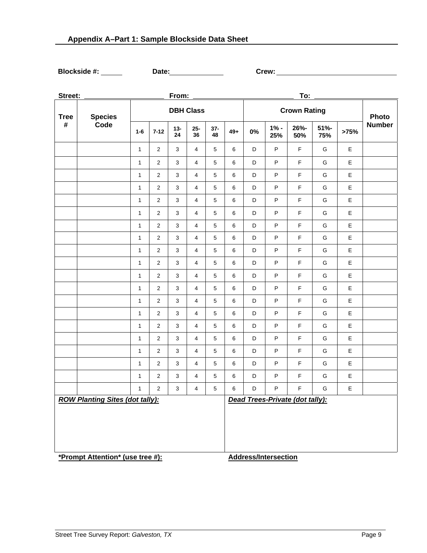**Blockside #: Date: Crew:**

| Street:                                |                |                  |                | From:        |                |             |       |                                 |                             | To:         |             |             |               |
|----------------------------------------|----------------|------------------|----------------|--------------|----------------|-------------|-------|---------------------------------|-----------------------------|-------------|-------------|-------------|---------------|
| <b>Tree</b>                            | <b>Species</b> | <b>DBH Class</b> |                |              |                |             |       | <b>Crown Rating</b>             |                             |             |             |             |               |
| #                                      | Code           | $1 - 6$          | $7 - 12$       | $13 -$<br>24 | $25 -$<br>36   | $37-$<br>48 | $49+$ | $0\%$                           | $1% -$<br>25%               | 26%-<br>50% | 51%-<br>75% | >75%        | <b>Number</b> |
|                                        |                | $\mathbf{1}$     | 2              | 3            | $\overline{4}$ | 5           | 6     | D                               | P                           | F           | G           | Е           |               |
|                                        |                | $\mathbf{1}$     | $\overline{2}$ | $\mathbf{3}$ | $\overline{4}$ | $\,$ 5 $\,$ | 6     | D                               | $\sf P$                     | $\mathsf F$ | G           | E           |               |
|                                        |                | $\mathbf{1}$     | $\sqrt{2}$     | $\mathbf{3}$ | $\overline{4}$ | $\,$ 5 $\,$ | 6     | D                               | P                           | $\mathsf F$ | G           | E           |               |
|                                        |                | $\mathbf{1}$     | $\overline{2}$ | $\mathsf 3$  | $\overline{4}$ | $\,$ 5 $\,$ | 6     | D                               | $\sf P$                     | $\mathsf F$ | G           | E           |               |
|                                        |                | $\mathbf{1}$     | $\sqrt{2}$     | $\mathbf{3}$ | $\overline{4}$ | $\,$ 5 $\,$ | 6     | D                               | P                           | $\mathsf F$ | G           | E           |               |
|                                        |                | $\mathbf{1}$     | $\overline{2}$ | 3            | $\overline{4}$ | 5           | 6     | D                               | $\sf P$                     | $\mathsf F$ | G           | E           |               |
|                                        |                | $\mathbf 1$      | $\overline{2}$ | $\mathbf{3}$ | $\overline{4}$ | $\,$ 5 $\,$ | 6     | D                               | $\sf P$                     | $\mathsf F$ | G           | $\mathsf E$ |               |
|                                        |                | $\mathbf{1}$     | $\sqrt{2}$     | 3            | $\overline{4}$ | $\,$ 5 $\,$ | 6     | D                               | ${\sf P}$                   | $\mathsf F$ | G           | E           |               |
|                                        |                | $\mathbf{1}$     | $\sqrt{2}$     | $\mathbf{3}$ | $\overline{4}$ | $\,$ 5 $\,$ | 6     | D                               | P                           | $\mathsf F$ | G           | E           |               |
|                                        |                | $\mathbf{1}$     | $\sqrt{2}$     | 3            | $\overline{4}$ | $\,$ 5 $\,$ | 6     | D                               | $\sf P$                     | $\mathsf F$ | G           | E           |               |
|                                        |                | $\mathbf{1}$     | $\overline{2}$ | $\mathbf{3}$ | $\overline{4}$ | $\,$ 5 $\,$ | 6     | D                               | P                           | $\mathsf F$ | G           | E           |               |
|                                        |                | $\mathbf{1}$     | $\sqrt{2}$     | 3            | $\overline{4}$ | $\,$ 5 $\,$ | 6     | D                               | $\sf P$                     | $\mathsf F$ | G           | E           |               |
|                                        |                | $\mathbf{1}$     | $\overline{2}$ | $\mathbf{3}$ | $\overline{4}$ | $\,$ 5 $\,$ | 6     | D                               | P                           | $\mathsf F$ | G           | E           |               |
|                                        |                | $\mathbf{1}$     | $\sqrt{2}$     | 3            | $\overline{4}$ | $\,$ 5 $\,$ | 6     | D                               | P                           | $\mathsf F$ | G           | E           |               |
|                                        |                | $\mathbf{1}$     | $\overline{c}$ | $\mathbf{3}$ | $\overline{4}$ | $\,$ 5 $\,$ | 6     | D                               | P                           | $\mathsf F$ | G           | E           |               |
|                                        |                | $\mathbf{1}$     | $\sqrt{2}$     | $\mathsf 3$  | $\overline{4}$ | $\,$ 5 $\,$ | 6     | D                               | P                           | $\mathsf F$ | G           | E           |               |
|                                        |                | $\mathbf{1}$     | $\sqrt{2}$     | $\mathbf{3}$ | $\overline{4}$ | $\,$ 5 $\,$ | 6     | D                               | P                           | $\mathsf F$ | G           | E           |               |
|                                        |                | $\mathbf{1}$     | $\overline{2}$ | 3            | 4              | $\,$ 5 $\,$ | 6     | D                               | P                           | $\mathsf F$ | G           | E           |               |
|                                        |                | $\mathbf{1}$     | $\overline{2}$ | $\mathbf{3}$ | $\overline{4}$ | $\,$ 5 $\,$ | 6     | D                               | P                           | $\mathsf F$ | G           | E           |               |
|                                        |                | $\mathbf{1}$     | $\overline{2}$ | 3            | 4              | $\,$ 5 $\,$ | 6     | $\mathsf D$                     | ${\sf P}$                   | $\mathsf F$ | G           | E           |               |
| <b>ROW Planting Sites (dot tally):</b> |                |                  |                |              |                |             |       | Dead Trees-Private (dot tally): |                             |             |             |             |               |
| *Prompt Attention* (use tree #):       |                |                  |                |              |                |             |       |                                 | <b>Address/Intersection</b> |             |             |             |               |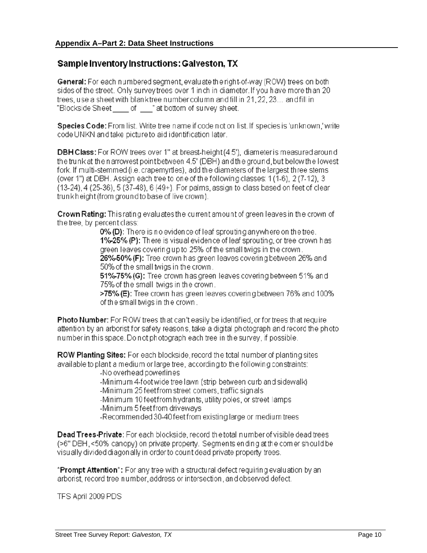#### Sample Inventory Instructions: Galveston, TX

General: For each numbered segment, evaluate the right-of-way (ROW) trees on both sides of the street. Only survey trees over 1 inch in diameter. If you have more than 20 trees, use a sheet with blanktree number column and fill in 21, 22, 23... and fill in "Blockside Sheet of "at bottom of survey sheet.

Species Code: From list. Write tree name if code not on list. If species is 'unknown,' write code UNKN and take picture to aid identification later.

**DBH Class:** For ROW trees over 1" at breast-height (4.5'), diameter is measured around the trunk at the narrowest point between 4.5' (DBH) and the ground, but below the lowest fork. If multi-stemmed (i.e. crapemyrtles), add the diameters of the largest three stems (over 1") at DBH. Assign each tree to one of the following classes: 1(1-6), 2(7-12), 3 (13-24), 4 (25-36), 5 (37-48), 6 (49+). For palms, assign to class based on feet of clear trunk height (from ground to base of live crown).

**Crown Rating:** This rating evaluates the current amount of green leaves in the crown of the tree, by percent class:

0% (D): There is no evidence of leaf sprouting anywhere on the tree. 1%-25% (P): There is visual evidence of leaf sprouting, or tree crown has green leaves covering up to 25% of the small twigs in the crown. 26%-50% (F): Tree crown has green leaves covering between 26% and

50% of the small twigs in the crown.

51%-75% (G): Tree crown has green leaves covering between 51% and 75% of the small twigs in the crown.

>75% (E): Tree crown has green leaves covering between 76% and 100% of the small twigs in the crown.

**Photo Number:** For ROW trees that can't easily be identified, or for trees that require attention by an arborist for safety reasons, take a digital photograph and record the photo number in this space. Do not photograph each tree in the survey, if possible.

**ROW Planting Sites:** For each blockside, record the total number of planting sites available to plant a medium or large tree, according to the following constraints:

-No overhead powerlines

-Minimum 4-foot wide tree lawn (strip between curb and sidewalk) -Minimum 25 feet from street corners, traffic signals

-Minimum 10 feet from hydrants, utility poles, or street lamps -Minimum 5 feet from driveways

-Recommended 30-40 feet from existing large or medium trees

Dead Trees-Private: For each blockside, record the total number of visible dead trees (>6" DBH, <50% canopy) on private property. Segments ending at the comer should be visually divided diagon ally in order to count dead private property trees.

**\*Prompt Attention\*:** For any tree with a structural defect requiring evaluation by an arborist, record tree number, address or intersection, and observed defect.

TFS April 2009 PDS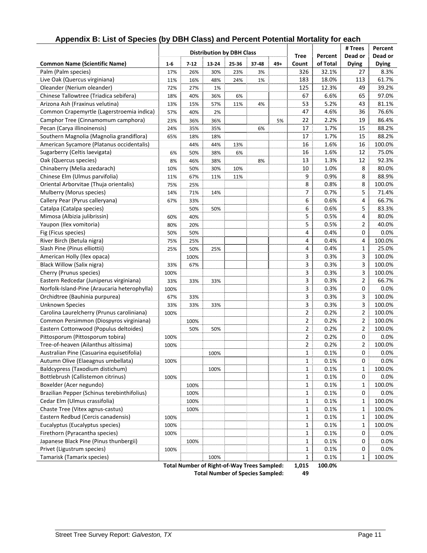|                                                                                 |                                  |          |       |       |       |     |                |          | # Trees        | Percent      |
|---------------------------------------------------------------------------------|----------------------------------|----------|-------|-------|-------|-----|----------------|----------|----------------|--------------|
|                                                                                 | <b>Distribution by DBH Class</b> |          |       |       |       |     | <b>Tree</b>    | Percent  | Dead or        | Dead or      |
| <b>Common Name (Scientific Name)</b>                                            | $1-6$                            | $7 - 12$ | 13-24 | 25-36 | 37-48 | 49+ | Count          | of Total | <b>Dying</b>   | <b>Dying</b> |
| Palm (Palm species)                                                             | 17%                              | 26%      | 30%   | 23%   | 3%    |     | 326            | 32.1%    | 27             | 8.3%         |
| Live Oak (Quercus virginiana)                                                   | 11%                              | 16%      | 48%   | 24%   | 1%    |     | 183            | 18.0%    | 113            | 61.7%        |
| Oleander (Nerium oleander)                                                      | 72%                              | 27%      | 1%    |       |       |     | 125            | 12.3%    | 49             | 39.2%        |
| Chinese Tallowtree (Triadica sebifera)                                          | 18%                              | 40%      | 36%   | 6%    |       |     | 67             | 6.6%     | 65             | 97.0%        |
| Arizona Ash (Fraxinus velutina)                                                 | 13%                              | 15%      | 57%   | 11%   | 4%    |     | 53             | 5.2%     | 43             | 81.1%        |
| Common Crapemyrtle (Lagerstroemia indica)                                       | 57%                              | 40%      | 2%    |       |       |     | 47             | 4.6%     | 36             | 76.6%        |
| Camphor Tree (Cinnamomum camphora)                                              | 23%                              | 36%      | 36%   |       |       | 5%  | 22             | 2.2%     | 19             | 86.4%        |
| Pecan (Carya illinoinensis)                                                     | 24%                              | 35%      | 35%   |       | 6%    |     | 17             | 1.7%     | 15             | 88.2%        |
| Southern Magnolia (Magnolia grandiflora)                                        | 65%                              | 18%      | 18%   |       |       |     | 17             | 1.7%     | 15             | 88.2%        |
| American Sycamore (Platanus occidentalis)                                       |                                  | 44%      | 44%   | 13%   |       |     | 16             | 1.6%     | 16             | 100.0%       |
| Sugarberry (Celtis laevigata)                                                   | 6%                               | 50%      | 38%   | 6%    |       |     | 16             | 1.6%     | 12             | 75.0%        |
| Oak (Quercus species)                                                           | 8%                               | 46%      | 38%   |       | 8%    |     | 13             | 1.3%     | 12             | 92.3%        |
| Chinaberry (Melia azedarach)                                                    | 10%                              | 50%      | 30%   | 10%   |       |     | 10             | 1.0%     | 8              | 80.0%        |
| Chinese Elm (Ulmus parvifolia)                                                  | 11%                              | 67%      | 11%   | 11%   |       |     | 9              | 0.9%     | 8              | 88.9%        |
| Oriental Arborvitae (Thuja orientalis)                                          | 75%                              | 25%      |       |       |       |     | 8              | 0.8%     | 8              | 100.0%       |
| Mulberry (Morus species)                                                        | 14%                              | 71%      | 14%   |       |       |     | 7              | 0.7%     | 5              | 71.4%        |
| Callery Pear (Pyrus calleryana)                                                 | 67%                              | 33%      |       |       |       |     | 6              | 0.6%     | 4              | 66.7%        |
| Catalpa (Catalpa species)                                                       |                                  | 50%      | 50%   |       |       |     | 6              | 0.6%     | 5              | 83.3%        |
| Mimosa (Albizia julibrissin)                                                    | 60%                              | 40%      |       |       |       |     | 5              | 0.5%     | 4              | 80.0%        |
| Yaupon (Ilex vomitoria)                                                         | 80%                              | 20%      |       |       |       |     | 5              | 0.5%     | 2              | 40.0%        |
| Fig (Ficus species)                                                             | 50%                              | 50%      |       |       |       |     | 4              | 0.4%     | 0              | 0.0%         |
| River Birch (Betula nigra)                                                      | 75%                              | 25%      |       |       |       |     | 4              | 0.4%     | 4              | 100.0%       |
| Slash Pine (Pinus elliottii)                                                    | 25%                              | 50%      | 25%   |       |       |     | 4              | 0.4%     | $\mathbf{1}$   | 25.0%        |
| American Holly (Ilex opaca)                                                     |                                  | 100%     |       |       |       |     | 3              | 0.3%     | 3              | 100.0%       |
| Black Willow (Salix nigra)                                                      | 33%                              | 67%      |       |       |       |     | 3              | 0.3%     | 3              | 100.0%       |
| Cherry (Prunus species)                                                         | 100%                             |          |       |       |       |     | 3              | 0.3%     | 3              | 100.0%       |
| Eastern Redcedar (Juniperus virginiana)                                         | 33%                              | 33%      | 33%   |       |       |     | 3              | 0.3%     | 2              | 66.7%        |
| Norfolk-Island-Pine (Araucaria heterophylla)                                    | 100%                             |          |       |       |       |     | 3              | 0.3%     | 0              | 0.0%         |
| Orchidtree (Bauhinia purpurea)                                                  | 67%                              | 33%      |       |       |       |     | 3              | 0.3%     | 3              | 100.0%       |
| <b>Unknown Species</b>                                                          | 33%                              | 33%      | 33%   |       |       |     | 3              | 0.3%     | 3              | 100.0%       |
| Carolina Laurelcherry (Prunus caroliniana)                                      | 100%                             |          |       |       |       |     | $\overline{2}$ | 0.2%     | $\overline{2}$ | 100.0%       |
| Common Persimmon (Diospyros virginiana)                                         |                                  | 100%     |       |       |       |     | $\overline{2}$ | 0.2%     | 2              | 100.0%       |
| Eastern Cottonwood (Populus deltoides)                                          |                                  |          | 50%   |       |       |     | 2              | 0.2%     | 2              | 100.0%       |
| Pittosporum (Pittosporum tobira)                                                | 100%                             | 50%      |       |       |       |     | $\overline{2}$ | 0.2%     | 0              | 0.0%         |
| Tree-of-heaven (Ailanthus altissima)                                            | 100%                             |          |       |       |       |     | $\overline{2}$ | 0.2%     | 2              | 100.0%       |
|                                                                                 |                                  |          |       |       |       |     | 1              | 0.1%     | $\mathbf 0$    | 0.0%         |
| Australian Pine (Casuarina equisetifolia)<br>Autumn Olive (Elaeagnus umbellata) |                                  |          | 100%  |       |       |     | $\mathbf{1}$   | 0.1%     | 0              | 0.0%         |
| Baldcypress (Taxodium distichum)                                                | 100%                             |          |       |       |       |     | $\mathbf{1}$   | 0.1%     | 1              | 100.0%       |
| Bottlebrush (Callistemon citrinus)                                              |                                  |          | 100%  |       |       |     | $\mathbf{1}$   | 0.1%     | 0              | 0.0%         |
| Boxelder (Acer negundo)                                                         | 100%                             |          |       |       |       |     | $\mathbf{1}$   | 0.1%     | 1              | 100.0%       |
|                                                                                 |                                  | 100%     |       |       |       |     |                |          |                |              |
| Brazilian Pepper (Schinus terebinthifolius)<br>Cedar Elm (Ulmus crassifolia)    |                                  | 100%     |       |       |       |     | $\mathbf{1}$   | 0.1%     | 0              | 0.0%         |
|                                                                                 |                                  | 100%     |       |       |       |     | $\mathbf{1}$   | 0.1%     | 1              | 100.0%       |
| Chaste Tree (Vitex agnus-castus)                                                |                                  | 100%     |       |       |       |     | $\mathbf{1}$   | 0.1%     | 1              | 100.0%       |
| Eastern Redbud (Cercis canadensis)                                              | 100%                             |          |       |       |       |     | $\mathbf{1}$   | 0.1%     | 1              | 100.0%       |
| Eucalyptus (Eucalyptus species)                                                 | 100%                             |          |       |       |       |     | $\mathbf{1}$   | 0.1%     | 1              | 100.0%       |
| Firethorn (Pyracantha species)                                                  | 100%                             |          |       |       |       |     | $\mathbf{1}$   | 0.1%     | 0              | 0.0%         |
| Japanese Black Pine (Pinus thunbergii)                                          |                                  | 100%     |       |       |       |     | $\mathbf{1}$   | 0.1%     | 0              | 0.0%         |
| Privet (Ligustrum species)                                                      | 100%                             |          |       |       |       |     | $\mathbf{1}$   | 0.1%     | 0              | 0.0%         |
| Tamarisk (Tamarix species)                                                      |                                  |          | 100%  |       |       |     | $\mathbf{1}$   | 0.1%     | 1              | 100.0%       |

#### **Appendix B: List of Species (by DBH Class) and Percent Potential Mortality for each**

**Total Number of Right‐of‐Way Trees Sampled: 1,015 100.0% Total Number of Species Sampled: 49**